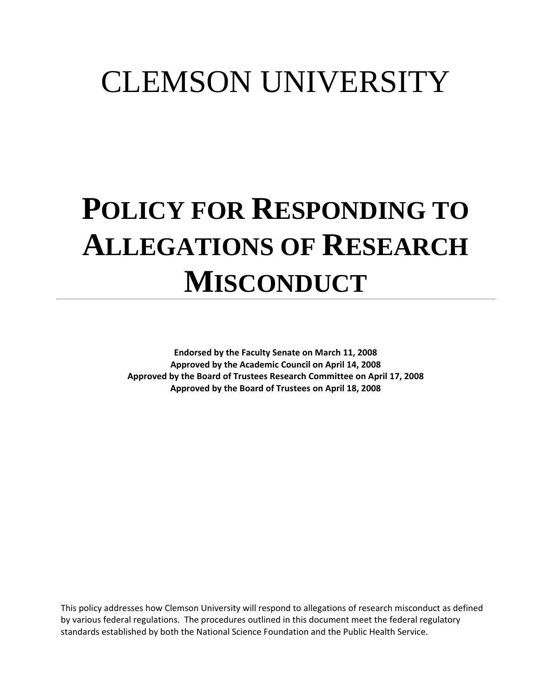# CLEMSON UNIVERSITY

# **POLICY FOR RESPONDING TO ALLEGATIONS OF RESEARCH MISCONDUCT**

**Endorsed by the Faculty Senate on March 11, 2008 Approved by the Academic Council on April 14, 2008 Approved by the Board of Trustees Research Committee on April 17, 2008 Approved by the Board of Trustees on April 18, 2008**

This policy addresses how Clemson University will respond to allegations of research misconduct as defined by various federal regulations. The procedures outlined in this document meet the federal regulatory standards established by both the National Science Foundation and the Public Health Service.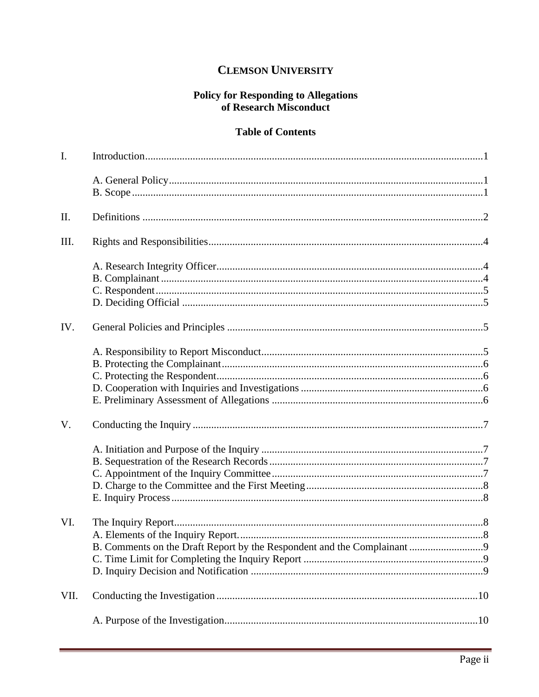# **CLEMSON UNIVERSITY**

# **Policy for Responding to Allegations<br>of Research Misconduct**

# **Table of Contents**

| $\mathbf{I}$ . |  |
|----------------|--|
|                |  |
| II.            |  |
| III.           |  |
|                |  |
| IV.            |  |
|                |  |
| V.             |  |
|                |  |
| VI.            |  |
| VII.           |  |
|                |  |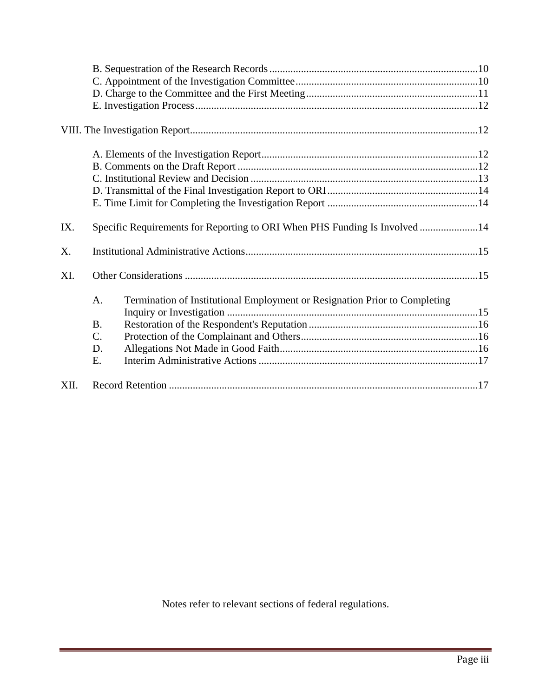| IX.  |                 | Specific Requirements for Reporting to ORI When PHS Funding Is Involved 14 |  |  |
|------|-----------------|----------------------------------------------------------------------------|--|--|
| X.   |                 |                                                                            |  |  |
| XI.  |                 |                                                                            |  |  |
|      | A.              | Termination of Institutional Employment or Resignation Prior to Completing |  |  |
|      |                 |                                                                            |  |  |
|      | <b>B.</b>       |                                                                            |  |  |
|      | $\mathcal{C}$ . |                                                                            |  |  |
|      | D.              |                                                                            |  |  |
|      | E.              |                                                                            |  |  |
| XII. |                 |                                                                            |  |  |

Notes refer to relevant sections of federal regulations.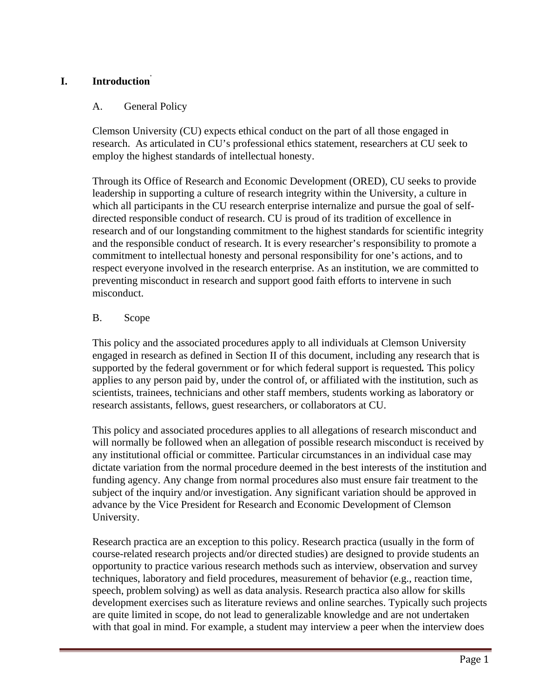# **I.** Introduction<sup>\*</sup>

# A. General Policy

Clemson University (CU) expects ethical conduct on the part of all those engaged in research. As articulated in CU's professional ethics statement, researchers at CU seek to employ the highest standards of intellectual honesty.

 Through its Office of Research and Economic Development (ORED), CU seeks to provide leadership in supporting a culture of research integrity within the University, a culture in which all participants in the CU research enterprise internalize and pursue the goal of self directed responsible conduct of research. CU is proud of its tradition of excellence in research and of our longstanding commitment to the highest standards for scientific integrity and the responsible conduct of research. It is every researcher's responsibility to promote a commitment to intellectual honesty and personal responsibility for one's actions, and to respect everyone involved in the research enterprise. As an institution, we are committed to preventing misconduct in research and support good faith efforts to intervene in such misconduct.

#### B. Scope

 This policy and the associated procedures apply to all individuals at Clemson University engaged in research as defined in Section II of this document, including any research that is supported by the federal government or for which federal support is requested*.* This policy applies to any person paid by, under the control of, or affiliated with the institution, such as scientists, trainees, technicians and other staff members, students working as laboratory or research assistants, fellows, guest researchers, or collaborators at CU.

 This policy and associated procedures applies to all allegations of research misconduct and will normally be followed when an allegation of possible research misconduct is received by any institutional official or committee. Particular circumstances in an individual case may dictate variation from the normal procedure deemed in the best interests of the institution and funding agency. Any change from normal procedures also must ensure fair treatment to the subject of the inquiry and/or investigation. Any significant variation should be approved in advance by the Vice President for Research and Economic Development of Clemson University.

Research practica are an exception to this policy. Research practica (usually in the form of course-related research projects and/or directed studies) are designed to provide students an opportunity to practice various research methods such as interview, observation and survey techniques, laboratory and field procedures, measurement of behavior (e.g., reaction time, speech, problem solving) as well as data analysis. Research practica also allow for skills development exercises such as literature reviews and online searches. Typically such projects are quite limited in scope, do not lead to generalizable knowledge and are not undertaken with that goal in mind. For example, a student may interview a peer when the interview does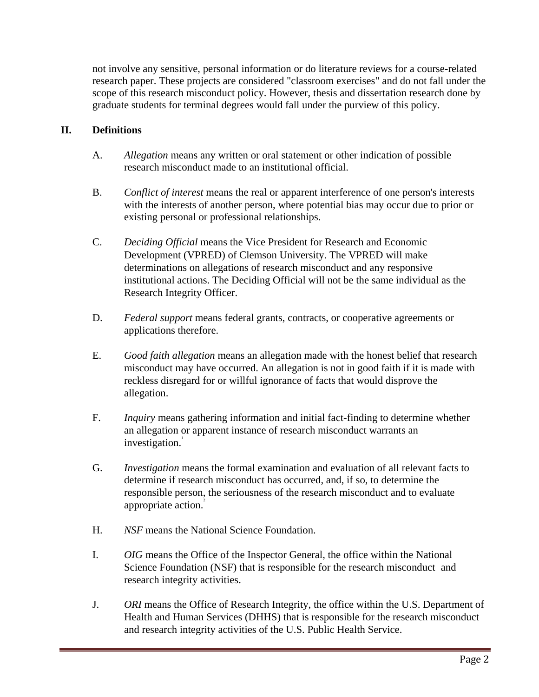not involve any sensitive, personal information or do literature reviews for a course-related research paper. These projects are considered "classroom exercises" and do not fall under the scope of this research misconduct policy. However, thesis and dissertation research done by graduate students for terminal degrees would fall under the purview of this policy.

# **II. Definitions**

- A. *Allegation* means any written or oral statement or other indication of possible research misconduct made to an institutional official.
- B. *Conflict of interest* means the real or apparent interference of one person's interests with the interests of another person, where potential bias may occur due to prior or existing personal or professional relationships.
- C. *Deciding Official* means the Vice President for Research and Economic Development (VPRED) of Clemson University. The VPRED will make determinations on allegations of research misconduct and any responsive institutional actions. The Deciding Official will not be the same individual as the Research Integrity Officer.
- D. *Federal support* means federal grants, contracts, or cooperative agreements or applications therefore.
- E. *Good faith allegation* means an allegation made with the honest belief that research misconduct may have occurred. An allegation is not in good faith if it is made with reckless disregard for or willful ignorance of facts that would disprove the allegation.
- F. *Inquiry* means gathering information and initial fact-finding to determine whether an allegation or apparent instance of research misconduct warrants an investigation.<sup>1</sup>
- G. *Investigation* means the formal examination and evaluation of all relevant facts to determine if research misconduct has occurred, and, if so, to determine the responsible person, the seriousness of the research misconduct and to evaluate appropriate action.<sup>2</sup>
- H. *NSF* means the National Science Foundation.
- I. *OIG* means the Office of the Inspector General, the office within the National Science Foundation (NSF) that is responsible for the research misconduct and research integrity activities.
- J. *ORI* means the Office of Research Integrity, the office within the U.S. Department of Health and Human Services (DHHS) that is responsible for the research misconduct and research integrity activities of the U.S. Public Health Service.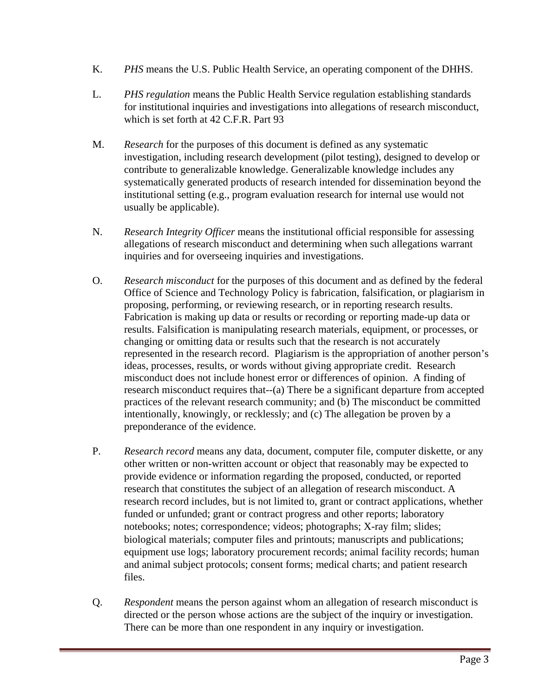- K. *PHS* means the U.S. Public Health Service, an operating component of the DHHS.
- L. *PHS regulation* means the Public Health Service regulation establishing standards for institutional inquiries and investigations into allegations of research misconduct, which is set forth at 42 C.F.R. Part 93
- M. *Research* for the purposes of this document is defined as any systematic investigation, including research development (pilot testing), designed to develop or contribute to generalizable knowledge. Generalizable knowledge includes any systematically generated products of research intended for dissemination beyond the institutional setting (e.g., program evaluation research for internal use would not usually be applicable).
- N. *Research Integrity Officer* means the institutional official responsible for assessing allegations of research misconduct and determining when such allegations warrant inquiries and for overseeing inquiries and investigations.
- O. *Research misconduct* for the purposes of this document and as defined by the federal Office of Science and Technology Policy is fabrication, falsification, or plagiarism in proposing, performing, or reviewing research, or in reporting research results. Fabrication is making up data or results or recording or reporting made-up data or results. Falsification is manipulating research materials, equipment, or processes, or changing or omitting data or results such that the research is not accurately represented in the research record. Plagiarism is the appropriation of another person's ideas, processes, results, or words without giving appropriate credit. Research misconduct does not include honest error or differences of opinion. A finding of research misconduct requires that--(a) There be a significant departure from accepted practices of the relevant research community; and (b) The misconduct be committed intentionally, knowingly, or recklessly; and (c) The allegation be proven by a preponderance of the evidence.
- P. *Research record* means any data, document, computer file, computer diskette, or any other written or non-written account or object that reasonably may be expected to provide evidence or information regarding the proposed, conducted, or reported research that constitutes the subject of an allegation of research misconduct. A research record includes, but is not limited to, grant or contract applications, whether funded or unfunded; grant or contract progress and other reports; laboratory notebooks; notes; correspondence; videos; photographs; X-ray film; slides; biological materials; computer files and printouts; manuscripts and publications; equipment use logs; laboratory procurement records; animal facility records; human and animal subject protocols; consent forms; medical charts; and patient research files.
- Q. *Respondent* means the person against whom an allegation of research misconduct is directed or the person whose actions are the subject of the inquiry or investigation. There can be more than one respondent in any inquiry or investigation.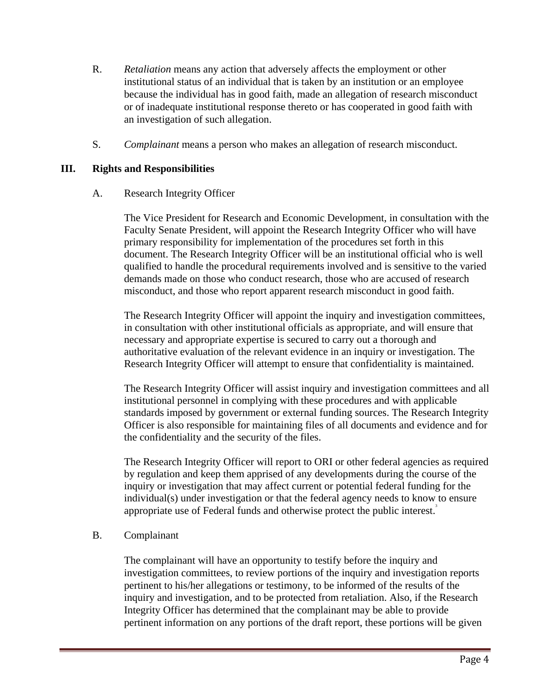- R. *Retaliation* means any action that adversely affects the employment or other institutional status of an individual that is taken by an institution or an employee because the individual has in good faith, made an allegation of research misconduct or of inadequate institutional response thereto or has cooperated in good faith with an investigation of such allegation.
- S. *Complainant* means a person who makes an allegation of research misconduct.

# **III. Rights and Responsibilities**

# A. Research Integrity Officer

The Vice President for Research and Economic Development, in consultation with the Faculty Senate President, will appoint the Research Integrity Officer who will have primary responsibility for implementation of the procedures set forth in this document. The Research Integrity Officer will be an institutional official who is well qualified to handle the procedural requirements involved and is sensitive to the varied demands made on those who conduct research, those who are accused of research misconduct, and those who report apparent research misconduct in good faith.

The Research Integrity Officer will appoint the inquiry and investigation committees, in consultation with other institutional officials as appropriate, and will ensure that necessary and appropriate expertise is secured to carry out a thorough and authoritative evaluation of the relevant evidence in an inquiry or investigation. The Research Integrity Officer will attempt to ensure that confidentiality is maintained.

The Research Integrity Officer will assist inquiry and investigation committees and all institutional personnel in complying with these procedures and with applicable standards imposed by government or external funding sources. The Research Integrity Officer is also responsible for maintaining files of all documents and evidence and for the confidentiality and the security of the files.

The Research Integrity Officer will report to ORI or other federal agencies as required by regulation and keep them apprised of any developments during the course of the inquiry or investigation that may affect current or potential federal funding for the individual(s) under investigation or that the federal agency needs to know to ensure appropriate use of Federal funds and otherwise protect the public interest.

# B. Complainant

 The complainant will have an opportunity to testify before the inquiry and investigation committees, to review portions of the inquiry and investigation reports pertinent to his/her allegations or testimony, to be informed of the results of the inquiry and investigation, and to be protected from retaliation. Also, if the Research Integrity Officer has determined that the complainant may be able to provide pertinent information on any portions of the draft report, these portions will be given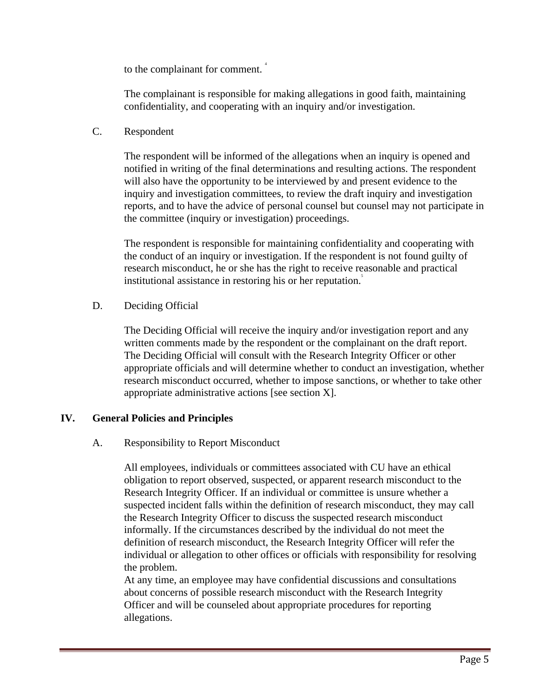to the complainant for comment.<sup>4</sup>

 The complainant is responsible for making allegations in good faith, maintaining confidentiality, and cooperating with an inquiry and/or investigation.

#### C. Respondent

The respondent will be informed of the allegations when an inquiry is opened and notified in writing of the final determinations and resulting actions. The respondent will also have the opportunity to be interviewed by and present evidence to the inquiry and investigation committees, to review the draft inquiry and investigation reports, and to have the advice of personal counsel but counsel may not participate in the committee (inquiry or investigation) proceedings.

The respondent is responsible for maintaining confidentiality and cooperating with the conduct of an inquiry or investigation. If the respondent is not found guilty of research misconduct, he or she has the right to receive reasonable and practical institutional assistance in restoring his or her reputation.

D. Deciding Official

The Deciding Official will receive the inquiry and/or investigation report and any written comments made by the respondent or the complainant on the draft report. The Deciding Official will consult with the Research Integrity Officer or other appropriate officials and will determine whether to conduct an investigation, whether research misconduct occurred, whether to impose sanctions, or whether to take other appropriate administrative actions [see section X].

# **IV. General Policies and Principles**

# A. Responsibility to Report Misconduct

All employees, individuals or committees associated with CU have an ethical obligation to report observed, suspected, or apparent research misconduct to the Research Integrity Officer. If an individual or committee is unsure whether a suspected incident falls within the definition of research misconduct, they may call the Research Integrity Officer to discuss the suspected research misconduct informally. If the circumstances described by the individual do not meet the definition of research misconduct, the Research Integrity Officer will refer the individual or allegation to other offices or officials with responsibility for resolving the problem.

At any time, an employee may have confidential discussions and consultations about concerns of possible research misconduct with the Research Integrity Officer and will be counseled about appropriate procedures for reporting allegations.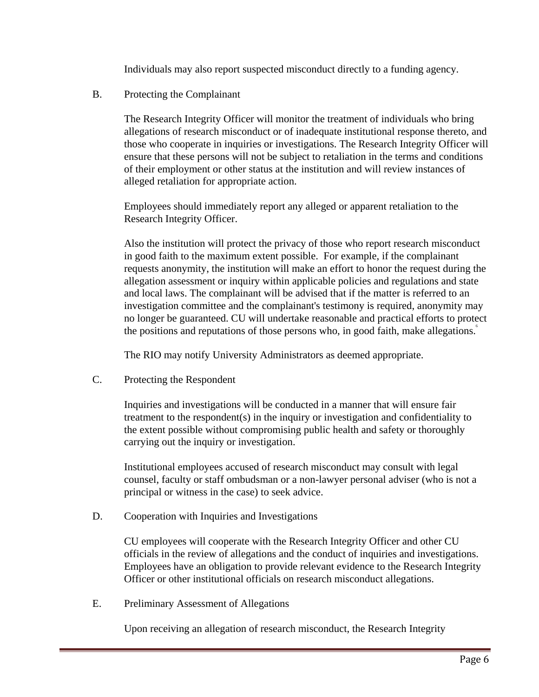Individuals may also report suspected misconduct directly to a funding agency.

#### B. Protecting the Complainant

The Research Integrity Officer will monitor the treatment of individuals who bring allegations of research misconduct or of inadequate institutional response thereto, and those who cooperate in inquiries or investigations. The Research Integrity Officer will ensure that these persons will not be subject to retaliation in the terms and conditions of their employment or other status at the institution and will review instances of alleged retaliation for appropriate action.

 Employees should immediately report any alleged or apparent retaliation to the Research Integrity Officer.

Also the institution will protect the privacy of those who report research misconduct in good faith to the maximum extent possible. For example, if the complainant requests anonymity, the institution will make an effort to honor the request during the allegation assessment or inquiry within applicable policies and regulations and state and local laws. The complainant will be advised that if the matter is referred to an investigation committee and the complainant's testimony is required, anonymity may no longer be guaranteed. CU will undertake reasonable and practical efforts to protect the positions and reputations of those persons who, in good faith, make allegations.

The RIO may notify University Administrators as deemed appropriate.

C. Protecting the Respondent

 Inquiries and investigations will be conducted in a manner that will ensure fair treatment to the respondent(s) in the inquiry or investigation and confidentiality to the extent possible without compromising public health and safety or thoroughly carrying out the inquiry or investigation.

Institutional employees accused of research misconduct may consult with legal counsel, faculty or staff ombudsman or a non-lawyer personal adviser (who is not a principal or witness in the case) to seek advice.

D. Cooperation with Inquiries and Investigations

CU employees will cooperate with the Research Integrity Officer and other CU officials in the review of allegations and the conduct of inquiries and investigations. Employees have an obligation to provide relevant evidence to the Research Integrity Officer or other institutional officials on research misconduct allegations.

E. Preliminary Assessment of Allegations

Upon receiving an allegation of research misconduct, the Research Integrity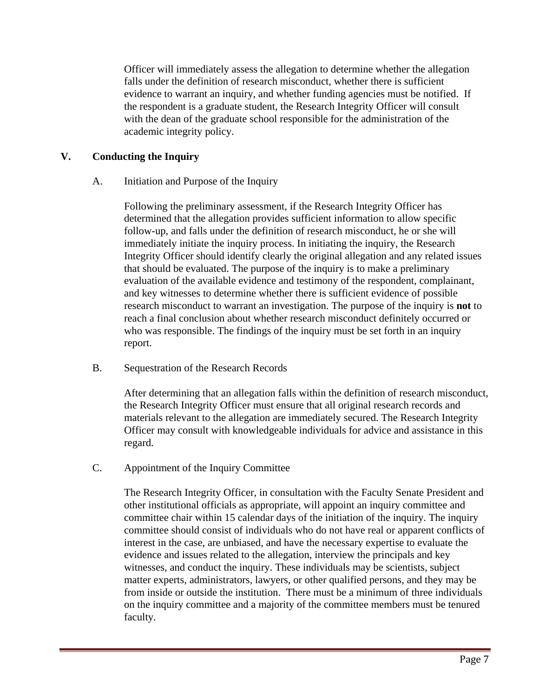Officer will immediately assess the allegation to determine whether the allegation falls under the definition of research misconduct, whether there is sufficient evidence to warrant an inquiry, and whether funding agencies must be notified. If the respondent is a graduate student, the Research Integrity Officer will consult with the dean of the graduate school responsible for the administration of the academic integrity policy.

# **V. Conducting the Inquiry**

A. Initiation and Purpose of the Inquiry

Following the preliminary assessment, if the Research Integrity Officer has determined that the allegation provides sufficient information to allow specific follow-up, and falls under the definition of research misconduct, he or she will immediately initiate the inquiry process. In initiating the inquiry, the Research Integrity Officer should identify clearly the original allegation and any related issues that should be evaluated. The purpose of the inquiry is to make a preliminary evaluation of the available evidence and testimony of the respondent, complainant, and key witnesses to determine whether there is sufficient evidence of possible research misconduct to warrant an investigation. The purpose of the inquiry is **not** to reach a final conclusion about whether research misconduct definitely occurred or who was responsible. The findings of the inquiry must be set forth in an inquiry report.

B. Sequestration of the Research Records

After determining that an allegation falls within the definition of research misconduct, the Research Integrity Officer must ensure that all original research records and materials relevant to the allegation are immediately secured. The Research Integrity Officer may consult with knowledgeable individuals for advice and assistance in this regard.

C. Appointment of the Inquiry Committee

The Research Integrity Officer, in consultation with the Faculty Senate President and other institutional officials as appropriate, will appoint an inquiry committee and committee chair within 15 calendar days of the initiation of the inquiry. The inquiry committee should consist of individuals who do not have real or apparent conflicts of interest in the case, are unbiased, and have the necessary expertise to evaluate the evidence and issues related to the allegation, interview the principals and key witnesses, and conduct the inquiry. These individuals may be scientists, subject matter experts, administrators, lawyers, or other qualified persons, and they may be from inside or outside the institution. There must be a minimum of three individuals on the inquiry committee and a majority of the committee members must be tenured faculty.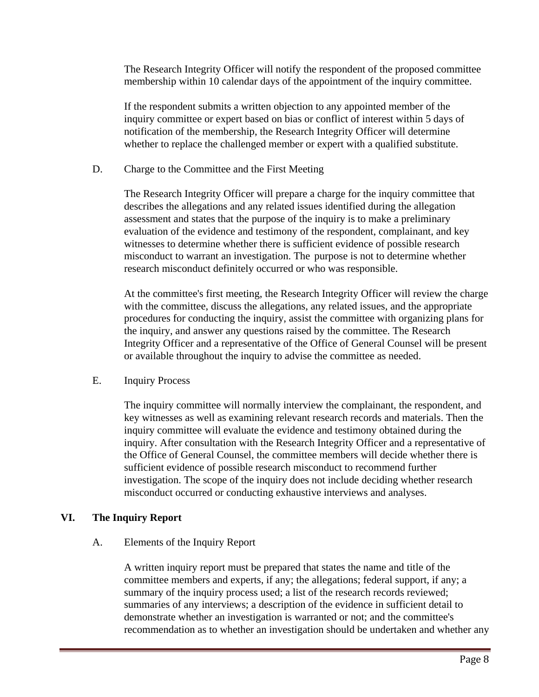The Research Integrity Officer will notify the respondent of the proposed committee membership within 10 calendar days of the appointment of the inquiry committee.

If the respondent submits a written objection to any appointed member of the inquiry committee or expert based on bias or conflict of interest within 5 days of notification of the membership, the Research Integrity Officer will determine whether to replace the challenged member or expert with a qualified substitute.

# D. Charge to the Committee and the First Meeting

The Research Integrity Officer will prepare a charge for the inquiry committee that describes the allegations and any related issues identified during the allegation assessment and states that the purpose of the inquiry is to make a preliminary evaluation of the evidence and testimony of the respondent, complainant, and key witnesses to determine whether there is sufficient evidence of possible research misconduct to warrant an investigation. The purpose is not to determine whether research misconduct definitely occurred or who was responsible.

At the committee's first meeting, the Research Integrity Officer will review the charge with the committee, discuss the allegations, any related issues, and the appropriate procedures for conducting the inquiry, assist the committee with organizing plans for the inquiry, and answer any questions raised by the committee. The Research Integrity Officer and a representative of the Office of General Counsel will be present or available throughout the inquiry to advise the committee as needed.

# E. Inquiry Process

The inquiry committee will normally interview the complainant, the respondent, and key witnesses as well as examining relevant research records and materials. Then the inquiry committee will evaluate the evidence and testimony obtained during the inquiry. After consultation with the Research Integrity Officer and a representative of the Office of General Counsel, the committee members will decide whether there is sufficient evidence of possible research misconduct to recommend further investigation. The scope of the inquiry does not include deciding whether research misconduct occurred or conducting exhaustive interviews and analyses.

# **VI. The Inquiry Report**

# A. Elements of the Inquiry Report

A written inquiry report must be prepared that states the name and title of the committee members and experts, if any; the allegations; federal support, if any; a summary of the inquiry process used; a list of the research records reviewed; summaries of any interviews; a description of the evidence in sufficient detail to demonstrate whether an investigation is warranted or not; and the committee's recommendation as to whether an investigation should be undertaken and whether any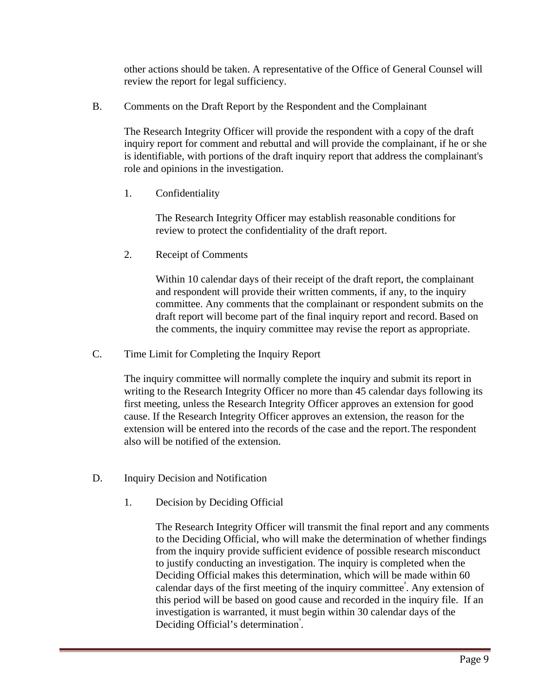other actions should be taken. A representative of the Office of General Counsel will review the report for legal sufficiency.

B. Comments on the Draft Report by the Respondent and the Complainant

The Research Integrity Officer will provide the respondent with a copy of the draft inquiry report for comment and rebuttal and will provide the complainant, if he or she is identifiable, with portions of the draft inquiry report that address the complainant's role and opinions in the investigation.

1. Confidentiality

The Research Integrity Officer may establish reasonable conditions for review to protect the confidentiality of the draft report.

2. Receipt of Comments

Within 10 calendar days of their receipt of the draft report, the complainant and respondent will provide their written comments, if any, to the inquiry committee. Any comments that the complainant or respondent submits on the draft report will become part of the final inquiry report and record. Based on the comments, the inquiry committee may revise the report as appropriate.

C. Time Limit for Completing the Inquiry Report

 The inquiry committee will normally complete the inquiry and submit its report in writing to the Research Integrity Officer no more than 45 calendar days following its first meeting, unless the Research Integrity Officer approves an extension for good cause. If the Research Integrity Officer approves an extension, the reason for the extension will be entered into the records of the case and the report.The respondent also will be notified of the extension.

- D. Inquiry Decision and Notification
	- 1. Decision by Deciding Official

The Research Integrity Officer will transmit the final report and any comments to the Deciding Official, who will make the determination of whether findings from the inquiry provide sufficient evidence of possible research misconduct to justify conducting an investigation. The inquiry is completed when the Deciding Official makes this determination, which will be made within 60 calendar days of the first meeting of the inquiry committee. Any extension of this period will be based on good cause and recorded in the inquiry file. If an investigation is warranted, it must begin within 30 calendar days of the Deciding Official's determination<sup>2</sup>.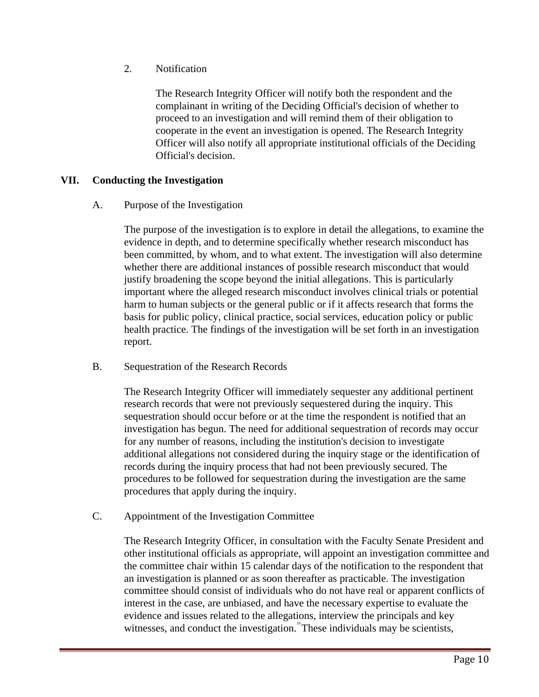2. Notification

 The Research Integrity Officer will notify both the respondent and the complainant in writing of the Deciding Official's decision of whether to proceed to an investigation and will remind them of their obligation to cooperate in the event an investigation is opened. The Research Integrity Officer will also notify all appropriate institutional officials of the Deciding Official's decision.

# **VII. Conducting the Investigation**

# A. Purpose of the Investigation

The purpose of the investigation is to explore in detail the allegations, to examine the evidence in depth, and to determine specifically whether research misconduct has been committed, by whom, and to what extent. The investigation will also determine whether there are additional instances of possible research misconduct that would justify broadening the scope beyond the initial allegations. This is particularly important where the alleged research misconduct involves clinical trials or potential harm to human subjects or the general public or if it affects research that forms the basis for public policy, clinical practice, social services, education policy or public health practice. The findings of the investigation will be set forth in an investigation report.

B. Sequestration of the Research Records

The Research Integrity Officer will immediately sequester any additional pertinent research records that were not previously sequestered during the inquiry. This sequestration should occur before or at the time the respondent is notified that an investigation has begun. The need for additional sequestration of records may occur for any number of reasons, including the institution's decision to investigate additional allegations not considered during the inquiry stage or the identification of records during the inquiry process that had not been previously secured. The procedures to be followed for sequestration during the investigation are the same procedures that apply during the inquiry.

C. Appointment of the Investigation Committee

The Research Integrity Officer, in consultation with the Faculty Senate President and other institutional officials as appropriate, will appoint an investigation committee and the committee chair within 15 calendar days of the notification to the respondent that an investigation is planned or as soon thereafter as practicable. The investigation committee should consist of individuals who do not have real or apparent conflicts of interest in the case, are unbiased, and have the necessary expertise to evaluate the evidence and issues related to the allegations, interview the principals and key witnesses, and conduct the investigation.<sup>10</sup> These individuals may be scientists,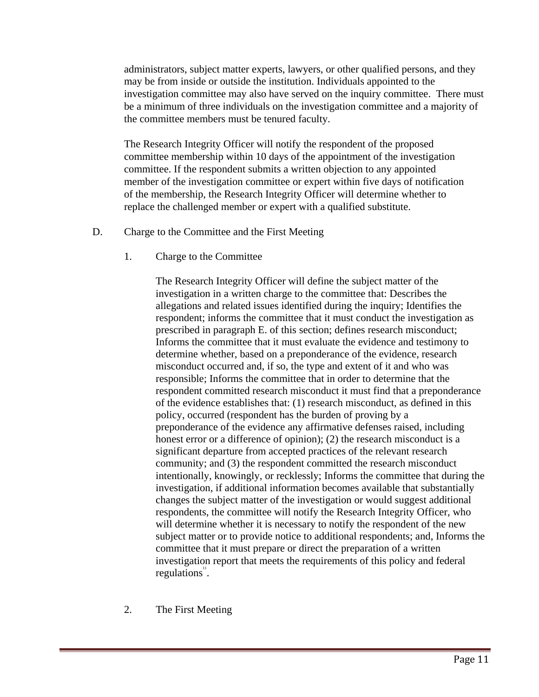administrators, subject matter experts, lawyers, or other qualified persons, and they may be from inside or outside the institution. Individuals appointed to the investigation committee may also have served on the inquiry committee. There must be a minimum of three individuals on the investigation committee and a majority of the committee members must be tenured faculty.

The Research Integrity Officer will notify the respondent of the proposed committee membership within 10 days of the appointment of the investigation committee. If the respondent submits a written objection to any appointed member of the investigation committee or expert within five days of notification of the membership, the Research Integrity Officer will determine whether to replace the challenged member or expert with a qualified substitute.

# D. Charge to the Committee and the First Meeting

1. Charge to the Committee

The Research Integrity Officer will define the subject matter of the investigation in a written charge to the committee that: Describes the allegations and related issues identified during the inquiry; Identifies the respondent; informs the committee that it must conduct the investigation as prescribed in paragraph E. of this section; defines research misconduct; Informs the committee that it must evaluate the evidence and testimony to determine whether, based on a preponderance of the evidence, research misconduct occurred and, if so, the type and extent of it and who was responsible; Informs the committee that in order to determine that the respondent committed research misconduct it must find that a preponderance of the evidence establishes that: (1) research misconduct, as defined in this policy, occurred (respondent has the burden of proving by a preponderance of the evidence any affirmative defenses raised, including honest error or a difference of opinion); (2) the research misconduct is a significant departure from accepted practices of the relevant research community; and (3) the respondent committed the research misconduct intentionally, knowingly, or recklessly; Informs the committee that during the investigation, if additional information becomes available that substantially changes the subject matter of the investigation or would suggest additional respondents, the committee will notify the Research Integrity Officer, who will determine whether it is necessary to notify the respondent of the new subject matter or to provide notice to additional respondents; and, Informs the committee that it must prepare or direct the preparation of a written investigation report that meets the requirements of this policy and federal regulations".

2. The First Meeting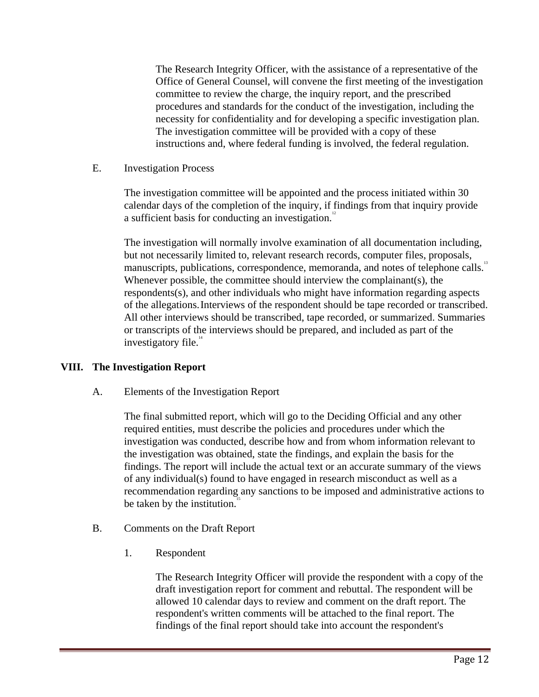The Research Integrity Officer, with the assistance of a representative of the Office of General Counsel, will convene the first meeting of the investigation committee to review the charge, the inquiry report, and the prescribed procedures and standards for the conduct of the investigation, including the necessity for confidentiality and for developing a specific investigation plan. The investigation committee will be provided with a copy of these instructions and, where federal funding is involved, the federal regulation.

E. Investigation Process

The investigation committee will be appointed and the process initiated within 30 calendar days of the completion of the inquiry, if findings from that inquiry provide a sufficient basis for conducting an investigation. $\overline{1}$ 

The investigation will normally involve examination of all documentation including, but not necessarily limited to, relevant research records, computer files, proposals, manuscripts, publications, correspondence, memoranda, and notes of telephone calls. Whenever possible, the committee should interview the complainant(s), the respondents(s), and other individuals who might have information regarding aspects of the allegations.Interviews of the respondent should be tape recorded or transcribed. All other interviews should be transcribed, tape recorded, or summarized. Summaries or transcripts of the interviews should be prepared, and included as part of the investigatory file.<sup>14</sup>

# **VIII. The Investigation Report**

A. Elements of the Investigation Report

The final submitted report, which will go to the Deciding Official and any other required entities, must describe the policies and procedures under which the investigation was conducted, describe how and from whom information relevant to the investigation was obtained, state the findings, and explain the basis for the findings. The report will include the actual text or an accurate summary of the views of any individual(s) found to have engaged in research misconduct as well as a recommendation regarding any sanctions to be imposed and administrative actions to be taken by the institution.<sup>15</sup>

- B. Comments on the Draft Report
	- 1. Respondent

 The Research Integrity Officer will provide the respondent with a copy of the draft investigation report for comment and rebuttal. The respondent will be allowed 10 calendar days to review and comment on the draft report. The respondent's written comments will be attached to the final report. The findings of the final report should take into account the respondent's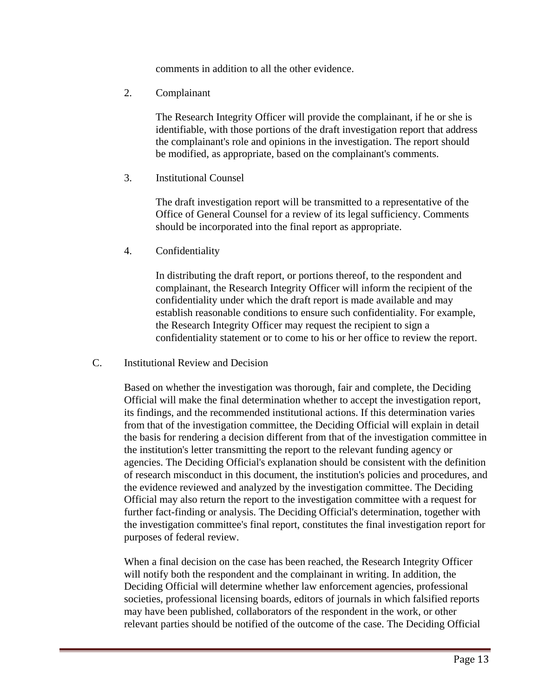comments in addition to all the other evidence.

2. Complainant

 The Research Integrity Officer will provide the complainant, if he or she is identifiable, with those portions of the draft investigation report that address the complainant's role and opinions in the investigation. The report should be modified, as appropriate, based on the complainant's comments.

3. Institutional Counsel

The draft investigation report will be transmitted to a representative of the Office of General Counsel for a review of its legal sufficiency. Comments should be incorporated into the final report as appropriate.

4. Confidentiality

In distributing the draft report, or portions thereof, to the respondent and complainant, the Research Integrity Officer will inform the recipient of the confidentiality under which the draft report is made available and may establish reasonable conditions to ensure such confidentiality. For example, the Research Integrity Officer may request the recipient to sign a confidentiality statement or to come to his or her office to review the report.

C. Institutional Review and Decision

Based on whether the investigation was thorough, fair and complete, the Deciding Official will make the final determination whether to accept the investigation report, its findings, and the recommended institutional actions. If this determination varies from that of the investigation committee, the Deciding Official will explain in detail the basis for rendering a decision different from that of the investigation committee in the institution's letter transmitting the report to the relevant funding agency or agencies. The Deciding Official's explanation should be consistent with the definition of research misconduct in this document, the institution's policies and procedures, and the evidence reviewed and analyzed by the investigation committee. The Deciding Official may also return the report to the investigation committee with a request for further fact-finding or analysis. The Deciding Official's determination, together with the investigation committee's final report, constitutes the final investigation report for purposes of federal review.

When a final decision on the case has been reached, the Research Integrity Officer will notify both the respondent and the complainant in writing. In addition, the Deciding Official will determine whether law enforcement agencies, professional societies, professional licensing boards, editors of journals in which falsified reports may have been published, collaborators of the respondent in the work, or other relevant parties should be notified of the outcome of the case. The Deciding Official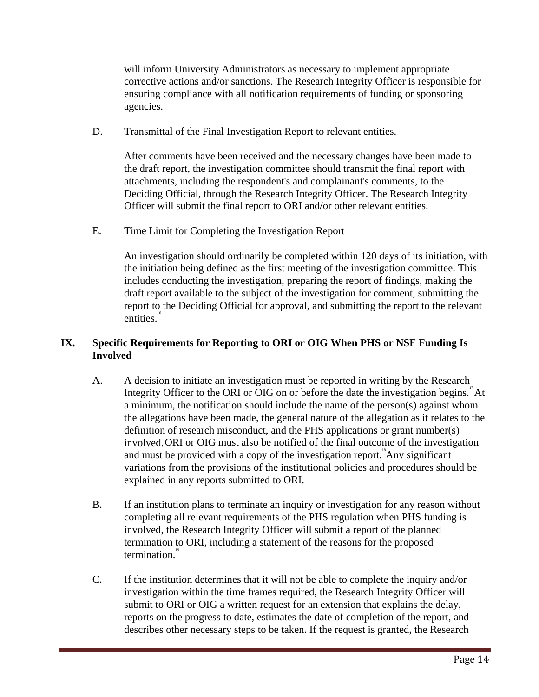will inform University Administrators as necessary to implement appropriate corrective actions and/or sanctions. The Research Integrity Officer is responsible for ensuring compliance with all notification requirements of funding or sponsoring agencies.

D. Transmittal of the Final Investigation Report to relevant entities.

After comments have been received and the necessary changes have been made to the draft report, the investigation committee should transmit the final report with attachments, including the respondent's and complainant's comments, to the Deciding Official, through the Research Integrity Officer. The Research Integrity Officer will submit the final report to ORI and/or other relevant entities.

E. Time Limit for Completing the Investigation Report

An investigation should ordinarily be completed within 120 days of its initiation, with the initiation being defined as the first meeting of the investigation committee. This includes conducting the investigation, preparing the report of findings, making the draft report available to the subject of the investigation for comment, submitting the report to the Deciding Official for approval, and submitting the report to the relevant entities.<sup>16</sup>

# **IX. Specific Requirements for Reporting to ORI or OIG When PHS or NSF Funding Is Involved**

- A. A decision to initiate an investigation must be reported in writing by the Research Integrity Officer to the ORI or OIG on or before the date the investigation begins.  $A$ t a minimum, the notification should include the name of the person(s) against whom the allegations have been made, the general nature of the allegation as it relates to the definition of research misconduct, and the PHS applications or grant number(s) involved.ORI or OIG must also be notified of the final outcome of the investigation and must be provided with a copy of the investigation report.<sup>8</sup>Any significant variations from the provisions of the institutional policies and procedures should be explained in any reports submitted to ORI.
- B. If an institution plans to terminate an inquiry or investigation for any reason without completing all relevant requirements of the PHS regulation when PHS funding is involved, the Research Integrity Officer will submit a report of the planned termination to ORI, including a statement of the reasons for the proposed termination.
- C. If the institution determines that it will not be able to complete the inquiry and/or investigation within the time frames required, the Research Integrity Officer will submit to ORI or OIG a written request for an extension that explains the delay, reports on the progress to date, estimates the date of completion of the report, and describes other necessary steps to be taken. If the request is granted, the Research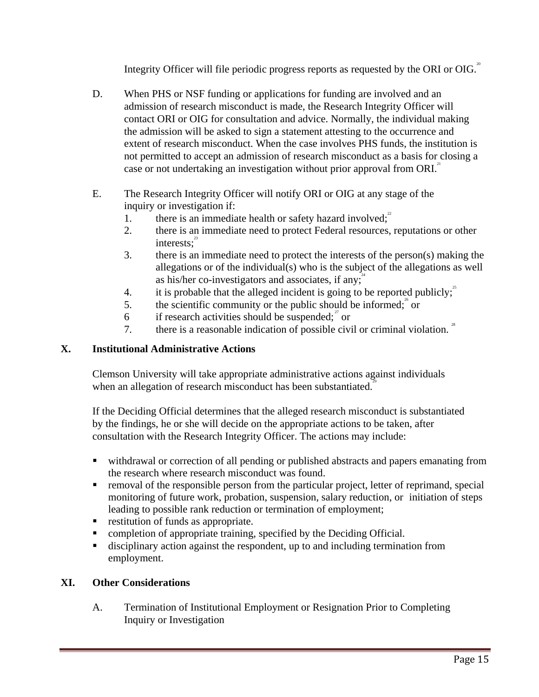Integrity Officer will file periodic progress reports as requested by the ORI or OIG. $^2$ 

- D. When PHS or NSF funding or applications for funding are involved and an admission of research misconduct is made, the Research Integrity Officer will contact ORI or OIG for consultation and advice. Normally, the individual making the admission will be asked to sign a statement attesting to the occurrence and extent of research misconduct. When the case involves PHS funds, the institution is not permitted to accept an admission of research misconduct as a basis for closing a case or not undertaking an investigation without prior approval from  $ORI<sup>21</sup>$
- E. The Research Integrity Officer will notify ORI or OIG at any stage of the inquiry or investigation if:
	- 1. there is an immediate health or safety hazard involved; $2<sup>2</sup>$
	- 2. there is an immediate need to protect Federal resources, reputations or other interests:<sup>23</sup>
	- 3. there is an immediate need to protect the interests of the person(s) making the allegations or of the individual(s) who is the subject of the allegations as well as his/her co-investigators and associates, if any; $\ddot{\,}$
	- 4. it is probable that the alleged incident is going to be reported publicly; $\ddot{\tilde{}}$
	- 5. the scientific community or the public should be informed;  $\delta$  or
- $6 \text{ if research activities should be suspended;}$  or
	- 7. there is a reasonable indication of possible civil or criminal violation.<sup>28</sup>

# **X. Institutional Administrative Actions**

Clemson University will take appropriate administrative actions against individuals when an allegation of research misconduct has been substantiated.<sup>2</sup>

If the Deciding Official determines that the alleged research misconduct is substantiated by the findings, he or she will decide on the appropriate actions to be taken, after consultation with the Research Integrity Officer. The actions may include:

- withdrawal or correction of all pending or published abstracts and papers emanating from the research where research misconduct was found.
- removal of the responsible person from the particular project, letter of reprimand, special monitoring of future work, probation, suspension, salary reduction, or initiation of steps leading to possible rank reduction or termination of employment;
- **•** restitution of funds as appropriate.
- completion of appropriate training, specified by the Deciding Official.
- disciplinary action against the respondent, up to and including termination from employment.

# **XI. Other Considerations**

A. Termination of Institutional Employment or Resignation Prior to Completing Inquiry or Investigation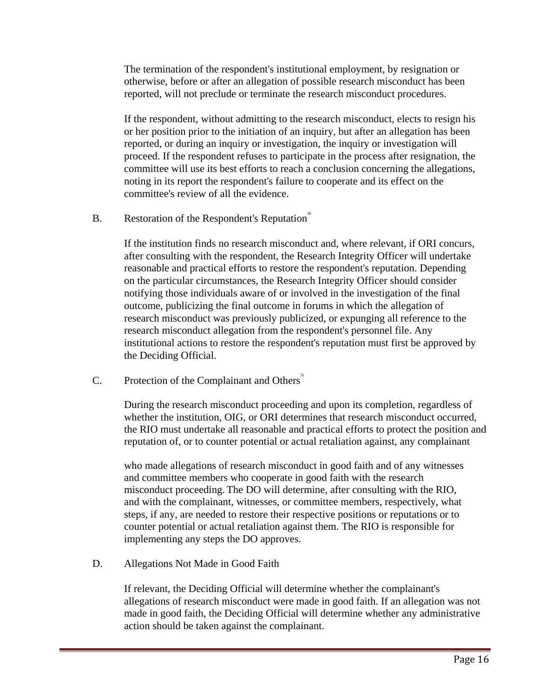The termination of the respondent's institutional employment, by resignation or otherwise, before or after an allegation of possible research misconduct has been reported, will not preclude or terminate the research misconduct procedures.

If the respondent, without admitting to the research misconduct, elects to resign his or her position prior to the initiation of an inquiry, but after an allegation has been reported, or during an inquiry or investigation, the inquiry or investigation will proceed. If the respondent refuses to participate in the process after resignation, the committee will use its best efforts to reach a conclusion concerning the allegations, noting in its report the respondent's failure to cooperate and its effect on the committee's review of all the evidence.

B. Restoration of the Respondent's Reputation<sup>30</sup>

If the institution finds no research misconduct and, where relevant, if ORI concurs, after consulting with the respondent, the Research Integrity Officer will undertake reasonable and practical efforts to restore the respondent's reputation. Depending on the particular circumstances, the Research Integrity Officer should consider notifying those individuals aware of or involved in the investigation of the final outcome, publicizing the final outcome in forums in which the allegation of research misconduct was previously publicized, or expunging all reference to the research misconduct allegation from the respondent's personnel file. Any institutional actions to restore the respondent's reputation must first be approved by the Deciding Official.

C. Protection of the Complainant and Others<sup>31</sup>

During the research misconduct proceeding and upon its completion, regardless of whether the institution, OIG, or ORI determines that research misconduct occurred, the RIO must undertake all reasonable and practical efforts to protect the position and reputation of, or to counter potential or actual retaliation against, any complainant

who made allegations of research misconduct in good faith and of any witnesses and committee members who cooperate in good faith with the research misconduct proceeding. The DO will determine, after consulting with the RIO, and with the complainant, witnesses, or committee members, respectively, what steps, if any, are needed to restore their respective positions or reputations or to counter potential or actual retaliation against them. The RIO is responsible for implementing any steps the DO approves.

D. Allegations Not Made in Good Faith

If relevant, the Deciding Official will determine whether the complainant's allegations of research misconduct were made in good faith. If an allegation was not made in good faith, the Deciding Official will determine whether any administrative action should be taken against the complainant.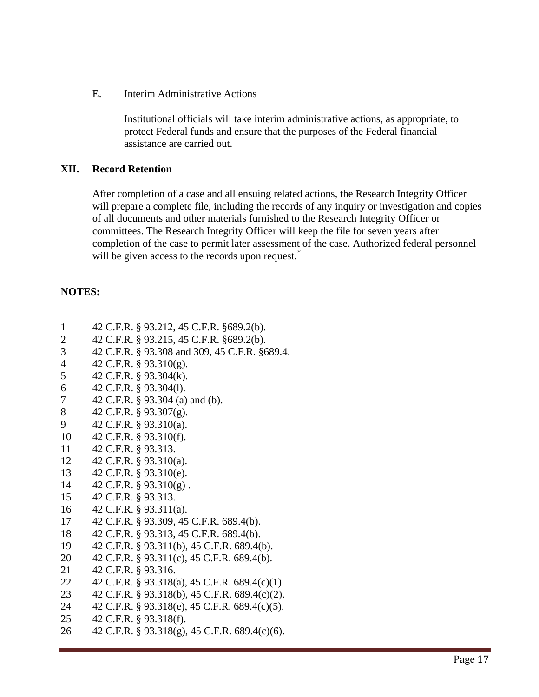E. Interim Administrative Actions

Institutional officials will take interim administrative actions, as appropriate, to protect Federal funds and ensure that the purposes of the Federal financial assistance are carried out.

#### **XII. Record Retention**

After completion of a case and all ensuing related actions, the Research Integrity Officer will prepare a complete file, including the records of any inquiry or investigation and copies of all documents and other materials furnished to the Research Integrity Officer or committees. The Research Integrity Officer will keep the file for seven years after completion of the case to permit later assessment of the case. Authorized federal personnel will be given access to the records upon request. $\overline{3}$ 

# **NOTES:**

- 42 C.F.R. § 93.212, 45 C.F.R. §689.2(b).
- 42 C.F.R. § 93.215, 45 C.F.R. §689.2(b).
- 42 C.F.R. § 93.308 and 309, 45 C.F.R. §689.4.
- 42 C.F.R. § 93.310(g).
- 42 C.F.R. § 93.304(k).
- 42 C.F.R. § 93.304(l).
- 42 C.F.R. § 93.304 (a) and (b).
- 42 C.F.R. § 93.307(g).
- 42 C.F.R. § 93.310(a).
- 42 C.F.R. § 93.310(f).
- 42 C.F.R. § 93.313.
- 42 C.F.R. § 93.310(a).
- 42 C.F.R. § 93.310(e).
- 42 C.F.R. § 93.310(g) .
- 42 C.F.R. § 93.313.
- 42 C.F.R. § 93.311(a).
- 42 C.F.R. § 93.309, 45 C.F.R. 689.4(b).
- 42 C.F.R. § 93.313, 45 C.F.R. 689.4(b).
- 42 C.F.R. § 93.311(b), 45 C.F.R. 689.4(b).
- 42 C.F.R. § 93.311(c), 45 C.F.R. 689.4(b).
- 42 C.F.R. § 93.316.
- 42 C.F.R. § 93.318(a), 45 C.F.R. 689.4(c)(1).
- 42 C.F.R. § 93.318(b), 45 C.F.R. 689.4(c)(2).
- 42 C.F.R. § 93.318(e), 45 C.F.R. 689.4(c)(5).
- 42 C.F.R. § 93.318(f).
- 42 C.F.R. § 93.318(g), 45 C.F.R. 689.4(c)(6).